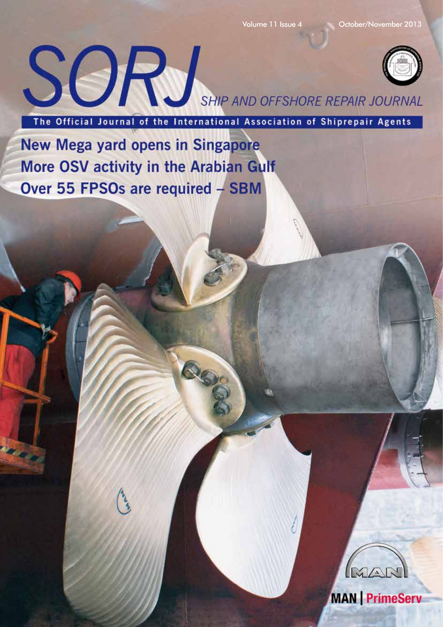

The Official Journal of the International Association of Shiprepair Agents

Q

New Mega yard opens in Singapore More OSV activity in the Arabian Gulf Over 55 FPSOs are required - SBM



**MAN** | PrimeServ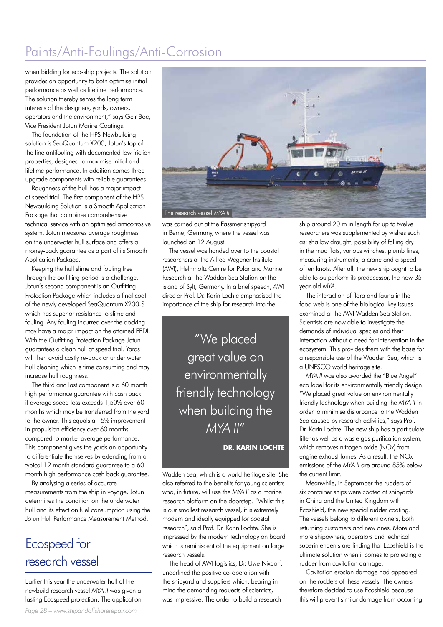## Paints/Anti-Foulings/Anti-Corrosion

when bidding for eco-ship projects. The solution provides an opportunity to both optimise initial performance as well as lifetime performance. The solution thereby serves the long term interests of the designers, yards, owners, operators and the environment," says Geir Boe, Vice President Jotun Marine Coatings.

The foundation of the HPS Newbuilding solution is SeaQuantum X200, Jotun's top of the line antifouling with documented low friction properties, designed to maximise initial and lifetime performance. In addition comes three upgrade components with reliable guarantees.

Roughness of the hull has a major impact at speed trial. The first component of the HPS Newbuilding Solution is a Smooth Application Package that combines comprehensive technical service with an optimised anticorrosive system. Jotun measures average roughness on the underwater hull surface and offers a money-back guarantee as a part of its Smooth Application Package.

Keeping the hull slime and fouling free through the outfitting period is a challenge. Jotun's second component is an Outfitting Protection Package which includes a final coat of the newly developed SeaQuantum X200-S which has superior resistance to slime and fouling. Any fouling incurred over the docking may have a major impact on the attained EEDI. With the Outfitting Protection Package Jotun guarantees a clean hull at speed trial. Yards will then avoid costly re-dock or under water hull cleaning which is time consuming and may increase hull roughness.

The third and last component is a 60 month high performance guarantee with cash back if average speed loss exceeds 1,50% over 60 months which may be transferred from the yard to the owner. This equals a 15% improvement in propulsion efficiency over 60 months compared to market average performance. This component gives the yards an opportunity to differentiate themselves by extending from a typical 12 month standard guarantee to a 60 month high performance cash back guarantee.

By analysing a series of accurate measurements from the ship in voyage, Jotun determines the condition on the underwater hull and its effect on fuel consumption using the Jotun Hull Performance Measurement Method.

## Ecospeed for research vessel

Earlier this year the underwater hull of the newbuild research vessel *MYA II* was given a lasting Ecospeed protection. The application





was carried out at the Fassmer shipyard in Berne, Germany, where the vessel was launched on 12 August.

The vessel was handed over to the coastal researchers at the Alfred Wegener Institute (AWI), Helmholtz Centre for Polar and Marine Research at the Wadden Sea Station on the island of Sylt, Germany. In a brief speech, AWI director Prof. Dr. Karin Lochte emphasised the importance of the ship for research into the

> "We placed great value on environmentally friendly technology when building the *MYA II*"

> > **DR. KARIN LOCHTE**

Wadden Sea, which is a world heritage site. She also referred to the benefits for young scientists who, in future, will use the *MYA II* as a marine research platform on the doorstep. "Whilst this is our smallest research vessel, it is extremely modern and ideally equipped for coastal research", said Prof. Dr. Karin Lochte. She is impressed by the modern technology on board which is reminiscent of the equipment on large research vessels.

The head of AWI logistics, Dr. Uwe Nixdorf, underlined the positive co-operation with the shipyard and suppliers which, bearing in mind the demanding requests of scientists, was impressive. The order to build a research

ship around 20 m in length for up to twelve researchers was supplemented by wishes such as: shallow draught, possibility of falling dry in the mud flats, various winches, plumb lines, measuring instruments, a crane and a speed of ten knots. After all, the new ship ought to be able to outperform its predecessor, the now 35 year-old *MYA*.

The interaction of flora and fauna in the food web is one of the biological key issues examined at the AWI Wadden Sea Station. Scientists are now able to investigate the demands of individual species and their interaction without a need for intervention in the ecosystem. This provides them with the basis for a responsible use of the Wadden Sea, which is a UNESCO world heritage site.

*MYA II* was also awarded the "Blue Angel" eco label for its environmentally friendly design. "We placed great value on environmentally friendly technology when building the *MYA II* in order to minimise disturbance to the Wadden Sea caused by research activities," says Prof. Dr. Karin Lochte. The new ship has a particulate filter as well as a waste aas purification system, which removes nitrogen oxide (NO<sub>x</sub>) from engine exhaust fumes. As a result, the NOx emissions of the *MYA II* are around 85% below the current limit.

Meanwhile, in September the rudders of six container ships were coated at shipyards in China and the United Kingdom with Ecoshield, the new special rudder coating. The vessels belong to different owners, both returning customers and new ones. More and more shipowners, operators and technical superintendents are finding that Ecoshield is the ultimate solution when it comes to protecting a rudder from cavitation damage.

Cavitation erosion damage had appeared on the rudders of these vessels. The owners therefore decided to use Ecoshield because this will prevent similar damage from occurring